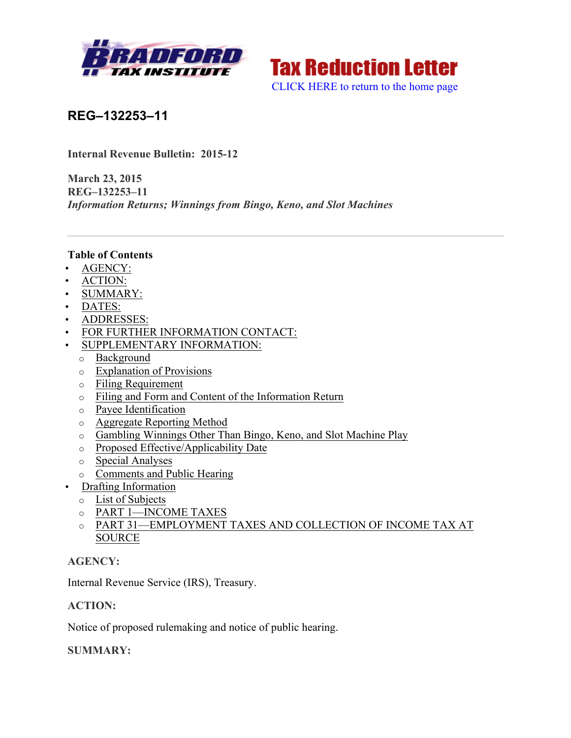



**REG–132253–11**

**Internal Revenue Bulletin: 2015-12**

**March 23, 2015 REG–132253–11** *Information Returns; Winnings from Bingo, Keno, and Slot Machines*

#### **Table of Contents**

- AGENCY:
- ACTION:
- SUMMARY:
- DATES:
- ADDRESSES:
- FOR FURTHER INFORMATION CONTACT:
- SUPPLEMENTARY INFORMATION:
	- o Background
	- o Explanation of Provisions
	- o Filing Requirement
	- o Filing and Form and Content of the Information Return
	- o Payee Identification
	- o Aggregate Reporting Method
	- o Gambling Winnings Other Than Bingo, Keno, and Slot Machine Play
	- o Proposed Effective/Applicability Date
	- o Special Analyses
	- o Comments and Public Hearing
- Drafting Information
	- o List of Subjects
	- o PART 1—INCOME TAXES
	- o PART 31—EMPLOYMENT TAXES AND COLLECTION OF INCOME TAX AT SOURCE

## **AGENCY:**

Internal Revenue Service (IRS), Treasury.

## **ACTION:**

Notice of proposed rulemaking and notice of public hearing.

## **SUMMARY:**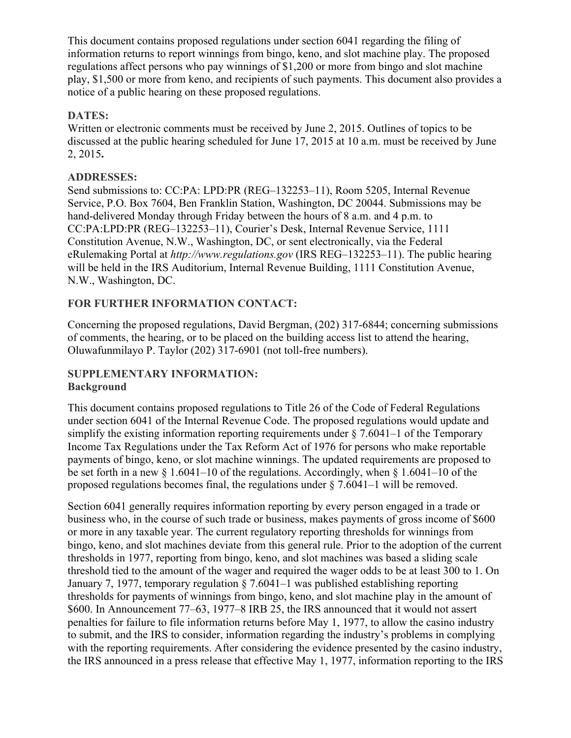This document contains proposed regulations under section 6041 regarding the filing of information returns to report winnings from bingo, keno, and slot machine play. The proposed regulations affect persons who pay winnings of \$1,200 or more from bingo and slot machine play, \$1,500 or more from keno, and recipients of such payments. This document also provides a notice of a public hearing on these proposed regulations.

## **DATES:**

Written or electronic comments must be received by June 2, 2015. Outlines of topics to be discussed at the public hearing scheduled for June 17, 2015 at 10 a.m. must be received by June 2, 2015**.**

## **ADDRESSES:**

Send submissions to: CC:PA: LPD:PR (REG–132253–11), Room 5205, Internal Revenue Service, P.O. Box 7604, Ben Franklin Station, Washington, DC 20044. Submissions may be hand-delivered Monday through Friday between the hours of 8 a.m. and 4 p.m. to CC:PA:LPD:PR (REG–132253–11), Courier's Desk, Internal Revenue Service, 1111 Constitution Avenue, N.W., Washington, DC, or sent electronically, via the Federal eRulemaking Portal at *http://www.regulations.gov* (IRS REG–132253–11). The public hearing will be held in the IRS Auditorium, Internal Revenue Building, 1111 Constitution Avenue, N.W., Washington, DC.

## **FOR FURTHER INFORMATION CONTACT:**

Concerning the proposed regulations, David Bergman, (202) 317-6844; concerning submissions of comments, the hearing, or to be placed on the building access list to attend the hearing, Oluwafunmilayo P. Taylor (202) 317-6901 (not toll-free numbers).

#### **SUPPLEMENTARY INFORMATION: Background**

This document contains proposed regulations to Title 26 of the Code of Federal Regulations under section 6041 of the Internal Revenue Code. The proposed regulations would update and simplify the existing information reporting requirements under  $\S 7.6041-1$  of the Temporary Income Tax Regulations under the Tax Reform Act of 1976 for persons who make reportable payments of bingo, keno, or slot machine winnings. The updated requirements are proposed to be set forth in a new § 1.6041–10 of the regulations. Accordingly, when § 1.6041–10 of the proposed regulations becomes final, the regulations under  $\S 7.6041-1$  will be removed.

Section 6041 generally requires information reporting by every person engaged in a trade or business who, in the course of such trade or business, makes payments of gross income of \$600 or more in any taxable year. The current regulatory reporting thresholds for winnings from bingo, keno, and slot machines deviate from this general rule. Prior to the adoption of the current thresholds in 1977, reporting from bingo, keno, and slot machines was based a sliding scale threshold tied to the amount of the wager and required the wager odds to be at least 300 to 1. On January 7, 1977, temporary regulation § 7.6041–1 was published establishing reporting thresholds for payments of winnings from bingo, keno, and slot machine play in the amount of \$600. In Announcement 77–63, 1977–8 IRB 25, the IRS announced that it would not assert penalties for failure to file information returns before May 1, 1977, to allow the casino industry to submit, and the IRS to consider, information regarding the industry's problems in complying with the reporting requirements. After considering the evidence presented by the casino industry, the IRS announced in a press release that effective May 1, 1977, information reporting to the IRS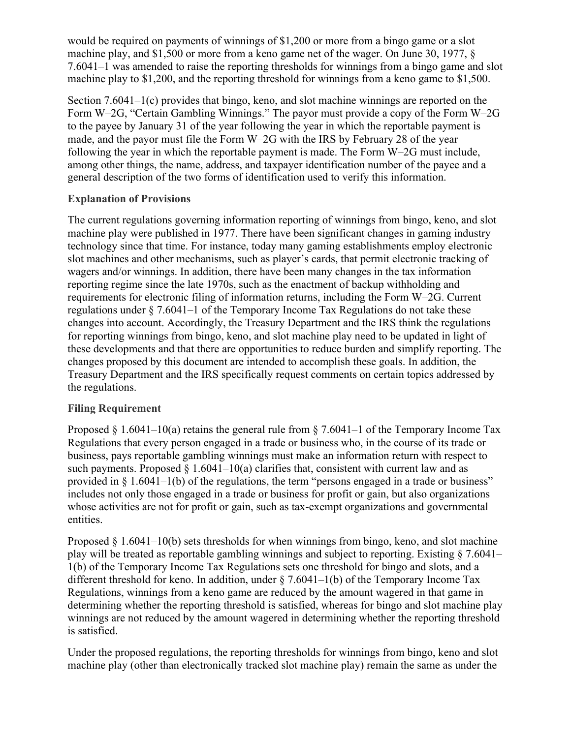would be required on payments of winnings of \$1,200 or more from a bingo game or a slot machine play, and \$1,500 or more from a keno game net of the wager. On June 30, 1977, § 7.6041–1 was amended to raise the reporting thresholds for winnings from a bingo game and slot machine play to \$1,200, and the reporting threshold for winnings from a keno game to \$1,500.

Section 7.6041–1(c) provides that bingo, keno, and slot machine winnings are reported on the Form W–2G, "Certain Gambling Winnings." The payor must provide a copy of the Form W–2G to the payee by January 31 of the year following the year in which the reportable payment is made, and the payor must file the Form W–2G with the IRS by February 28 of the year following the year in which the reportable payment is made. The Form W–2G must include, among other things, the name, address, and taxpayer identification number of the payee and a general description of the two forms of identification used to verify this information.

## **Explanation of Provisions**

The current regulations governing information reporting of winnings from bingo, keno, and slot machine play were published in 1977. There have been significant changes in gaming industry technology since that time. For instance, today many gaming establishments employ electronic slot machines and other mechanisms, such as player's cards, that permit electronic tracking of wagers and/or winnings. In addition, there have been many changes in the tax information reporting regime since the late 1970s, such as the enactment of backup withholding and requirements for electronic filing of information returns, including the Form W–2G. Current regulations under § 7.6041–1 of the Temporary Income Tax Regulations do not take these changes into account. Accordingly, the Treasury Department and the IRS think the regulations for reporting winnings from bingo, keno, and slot machine play need to be updated in light of these developments and that there are opportunities to reduce burden and simplify reporting. The changes proposed by this document are intended to accomplish these goals. In addition, the Treasury Department and the IRS specifically request comments on certain topics addressed by the regulations.

## **Filing Requirement**

Proposed  $\S 1.6041-10(a)$  retains the general rule from  $\S 7.6041-1$  of the Temporary Income Tax Regulations that every person engaged in a trade or business who, in the course of its trade or business, pays reportable gambling winnings must make an information return with respect to such payments. Proposed  $\S 1.6041-10(a)$  clarifies that, consistent with current law and as provided in § 1.6041–1(b) of the regulations, the term "persons engaged in a trade or business" includes not only those engaged in a trade or business for profit or gain, but also organizations whose activities are not for profit or gain, such as tax-exempt organizations and governmental entities.

Proposed  $\S 1.6041-10(b)$  sets thresholds for when winnings from bingo, keno, and slot machine play will be treated as reportable gambling winnings and subject to reporting. Existing § 7.6041– 1(b) of the Temporary Income Tax Regulations sets one threshold for bingo and slots, and a different threshold for keno. In addition, under  $\S$  7.6041–1(b) of the Temporary Income Tax Regulations, winnings from a keno game are reduced by the amount wagered in that game in determining whether the reporting threshold is satisfied, whereas for bingo and slot machine play winnings are not reduced by the amount wagered in determining whether the reporting threshold is satisfied.

Under the proposed regulations, the reporting thresholds for winnings from bingo, keno and slot machine play (other than electronically tracked slot machine play) remain the same as under the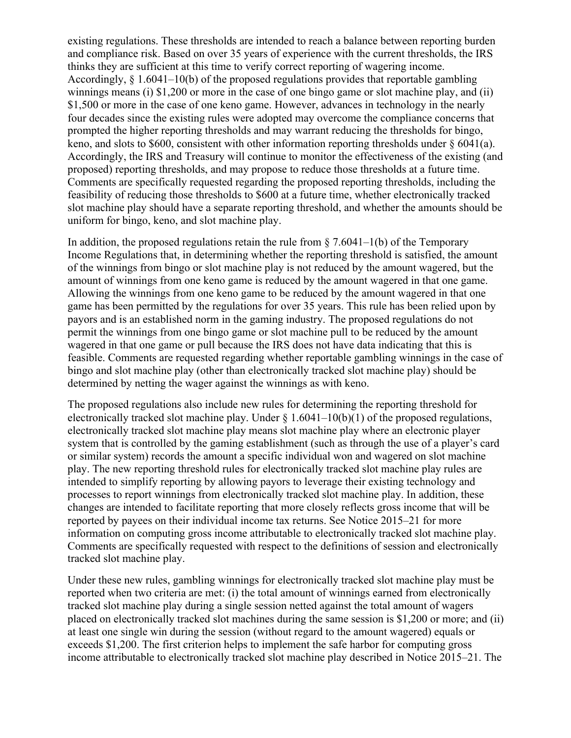existing regulations. These thresholds are intended to reach a balance between reporting burden and compliance risk. Based on over 35 years of experience with the current thresholds, the IRS thinks they are sufficient at this time to verify correct reporting of wagering income. Accordingly, § 1.6041–10(b) of the proposed regulations provides that reportable gambling winnings means (i) \$1,200 or more in the case of one bingo game or slot machine play, and (ii) \$1,500 or more in the case of one keno game. However, advances in technology in the nearly four decades since the existing rules were adopted may overcome the compliance concerns that prompted the higher reporting thresholds and may warrant reducing the thresholds for bingo, keno, and slots to \$600, consistent with other information reporting thresholds under § 6041(a). Accordingly, the IRS and Treasury will continue to monitor the effectiveness of the existing (and proposed) reporting thresholds, and may propose to reduce those thresholds at a future time. Comments are specifically requested regarding the proposed reporting thresholds, including the feasibility of reducing those thresholds to \$600 at a future time, whether electronically tracked slot machine play should have a separate reporting threshold, and whether the amounts should be uniform for bingo, keno, and slot machine play.

In addition, the proposed regulations retain the rule from  $\S$  7.6041–1(b) of the Temporary Income Regulations that, in determining whether the reporting threshold is satisfied, the amount of the winnings from bingo or slot machine play is not reduced by the amount wagered, but the amount of winnings from one keno game is reduced by the amount wagered in that one game. Allowing the winnings from one keno game to be reduced by the amount wagered in that one game has been permitted by the regulations for over 35 years. This rule has been relied upon by payors and is an established norm in the gaming industry. The proposed regulations do not permit the winnings from one bingo game or slot machine pull to be reduced by the amount wagered in that one game or pull because the IRS does not have data indicating that this is feasible. Comments are requested regarding whether reportable gambling winnings in the case of bingo and slot machine play (other than electronically tracked slot machine play) should be determined by netting the wager against the winnings as with keno.

The proposed regulations also include new rules for determining the reporting threshold for electronically tracked slot machine play. Under  $\S 1.6041-10(b)(1)$  of the proposed regulations, electronically tracked slot machine play means slot machine play where an electronic player system that is controlled by the gaming establishment (such as through the use of a player's card or similar system) records the amount a specific individual won and wagered on slot machine play. The new reporting threshold rules for electronically tracked slot machine play rules are intended to simplify reporting by allowing payors to leverage their existing technology and processes to report winnings from electronically tracked slot machine play. In addition, these changes are intended to facilitate reporting that more closely reflects gross income that will be reported by payees on their individual income tax returns. See Notice 2015–21 for more information on computing gross income attributable to electronically tracked slot machine play. Comments are specifically requested with respect to the definitions of session and electronically tracked slot machine play.

Under these new rules, gambling winnings for electronically tracked slot machine play must be reported when two criteria are met: (i) the total amount of winnings earned from electronically tracked slot machine play during a single session netted against the total amount of wagers placed on electronically tracked slot machines during the same session is \$1,200 or more; and (ii) at least one single win during the session (without regard to the amount wagered) equals or exceeds \$1,200. The first criterion helps to implement the safe harbor for computing gross income attributable to electronically tracked slot machine play described in Notice 2015–21. The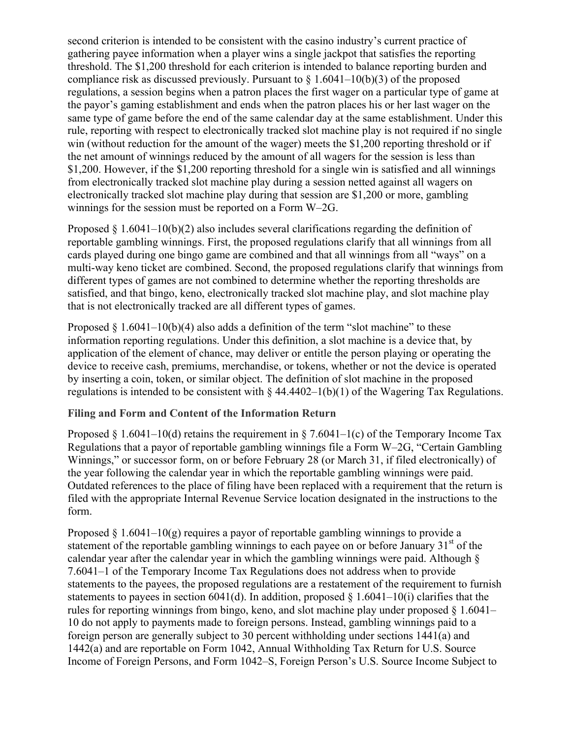second criterion is intended to be consistent with the casino industry's current practice of gathering payee information when a player wins a single jackpot that satisfies the reporting threshold. The \$1,200 threshold for each criterion is intended to balance reporting burden and compliance risk as discussed previously. Pursuant to  $\S 1.6041-10(b)(3)$  of the proposed regulations, a session begins when a patron places the first wager on a particular type of game at the payor's gaming establishment and ends when the patron places his or her last wager on the same type of game before the end of the same calendar day at the same establishment. Under this rule, reporting with respect to electronically tracked slot machine play is not required if no single win (without reduction for the amount of the wager) meets the \$1,200 reporting threshold or if the net amount of winnings reduced by the amount of all wagers for the session is less than \$1,200. However, if the \$1,200 reporting threshold for a single win is satisfied and all winnings from electronically tracked slot machine play during a session netted against all wagers on electronically tracked slot machine play during that session are \$1,200 or more, gambling winnings for the session must be reported on a Form W–2G.

Proposed § 1.6041–10(b)(2) also includes several clarifications regarding the definition of reportable gambling winnings. First, the proposed regulations clarify that all winnings from all cards played during one bingo game are combined and that all winnings from all "ways" on a multi-way keno ticket are combined. Second, the proposed regulations clarify that winnings from different types of games are not combined to determine whether the reporting thresholds are satisfied, and that bingo, keno, electronically tracked slot machine play, and slot machine play that is not electronically tracked are all different types of games.

Proposed  $\S 1.6041-10(b)(4)$  also adds a definition of the term "slot machine" to these information reporting regulations. Under this definition, a slot machine is a device that, by application of the element of chance, may deliver or entitle the person playing or operating the device to receive cash, premiums, merchandise, or tokens, whether or not the device is operated by inserting a coin, token, or similar object. The definition of slot machine in the proposed regulations is intended to be consistent with  $\S$  44.4402–1(b)(1) of the Wagering Tax Regulations.

## **Filing and Form and Content of the Information Return**

Proposed § 1.6041–10(d) retains the requirement in § 7.6041–1(c) of the Temporary Income Tax Regulations that a payor of reportable gambling winnings file a Form W–2G, "Certain Gambling Winnings," or successor form, on or before February 28 (or March 31, if filed electronically) of the year following the calendar year in which the reportable gambling winnings were paid. Outdated references to the place of filing have been replaced with a requirement that the return is filed with the appropriate Internal Revenue Service location designated in the instructions to the form.

Proposed § 1.6041–10(g) requires a payor of reportable gambling winnings to provide a statement of the reportable gambling winnings to each payee on or before January  $31<sup>st</sup>$  of the calendar year after the calendar year in which the gambling winnings were paid. Although § 7.6041–1 of the Temporary Income Tax Regulations does not address when to provide statements to the payees, the proposed regulations are a restatement of the requirement to furnish statements to payees in section 6041(d). In addition, proposed  $\S$  1.6041–10(i) clarifies that the rules for reporting winnings from bingo, keno, and slot machine play under proposed § 1.6041– 10 do not apply to payments made to foreign persons. Instead, gambling winnings paid to a foreign person are generally subject to 30 percent withholding under sections 1441(a) and 1442(a) and are reportable on Form 1042, Annual Withholding Tax Return for U.S. Source Income of Foreign Persons, and Form 1042–S, Foreign Person's U.S. Source Income Subject to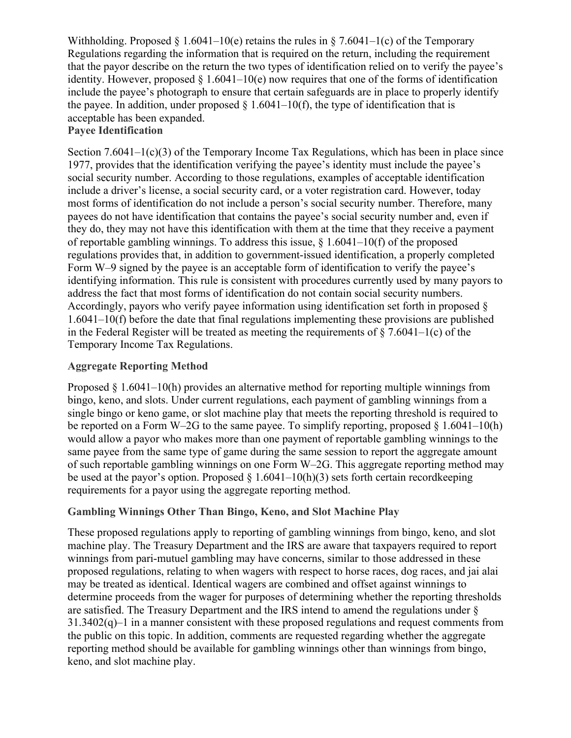Withholding. Proposed § 1.6041–10(e) retains the rules in § 7.6041–1(c) of the Temporary Regulations regarding the information that is required on the return, including the requirement that the payor describe on the return the two types of identification relied on to verify the payee's identity. However, proposed  $\S 1.6041-10(e)$  now requires that one of the forms of identification include the payee's photograph to ensure that certain safeguards are in place to properly identify the payee. In addition, under proposed  $\S$  1.6041–10(f), the type of identification that is acceptable has been expanded.

# **Payee Identification**

Section 7.6041–1 $(c)(3)$  of the Temporary Income Tax Regulations, which has been in place since 1977, provides that the identification verifying the payee's identity must include the payee's social security number. According to those regulations, examples of acceptable identification include a driver's license, a social security card, or a voter registration card. However, today most forms of identification do not include a person's social security number. Therefore, many payees do not have identification that contains the payee's social security number and, even if they do, they may not have this identification with them at the time that they receive a payment of reportable gambling winnings. To address this issue,  $\S$  1.6041–10(f) of the proposed regulations provides that, in addition to government-issued identification, a properly completed Form W–9 signed by the payee is an acceptable form of identification to verify the payee's identifying information. This rule is consistent with procedures currently used by many payors to address the fact that most forms of identification do not contain social security numbers. Accordingly, payors who verify payee information using identification set forth in proposed § 1.6041–10(f) before the date that final regulations implementing these provisions are published in the Federal Register will be treated as meeting the requirements of  $\S 7.6041-1(c)$  of the Temporary Income Tax Regulations.

## **Aggregate Reporting Method**

Proposed § 1.6041–10(h) provides an alternative method for reporting multiple winnings from bingo, keno, and slots. Under current regulations, each payment of gambling winnings from a single bingo or keno game, or slot machine play that meets the reporting threshold is required to be reported on a Form W–2G to the same payee. To simplify reporting, proposed  $\S 1.6041-10(h)$ would allow a payor who makes more than one payment of reportable gambling winnings to the same payee from the same type of game during the same session to report the aggregate amount of such reportable gambling winnings on one Form W–2G. This aggregate reporting method may be used at the payor's option. Proposed  $\S$  1.6041–10(h)(3) sets forth certain record keeping requirements for a payor using the aggregate reporting method.

## **Gambling Winnings Other Than Bingo, Keno, and Slot Machine Play**

These proposed regulations apply to reporting of gambling winnings from bingo, keno, and slot machine play. The Treasury Department and the IRS are aware that taxpayers required to report winnings from pari-mutuel gambling may have concerns, similar to those addressed in these proposed regulations, relating to when wagers with respect to horse races, dog races, and jai alai may be treated as identical. Identical wagers are combined and offset against winnings to determine proceeds from the wager for purposes of determining whether the reporting thresholds are satisfied. The Treasury Department and the IRS intend to amend the regulations under §  $31.3402(q)$ –1 in a manner consistent with these proposed regulations and request comments from the public on this topic. In addition, comments are requested regarding whether the aggregate reporting method should be available for gambling winnings other than winnings from bingo, keno, and slot machine play.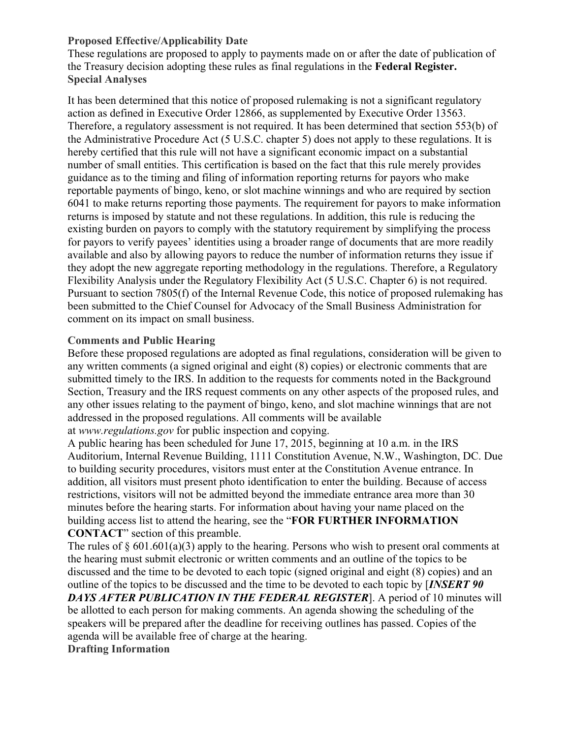## **Proposed Effective/Applicability Date**

These regulations are proposed to apply to payments made on or after the date of publication of the Treasury decision adopting these rules as final regulations in the **Federal Register. Special Analyses**

It has been determined that this notice of proposed rulemaking is not a significant regulatory action as defined in Executive Order 12866, as supplemented by Executive Order 13563. Therefore, a regulatory assessment is not required. It has been determined that section 553(b) of the Administrative Procedure Act (5 U.S.C. chapter 5) does not apply to these regulations. It is hereby certified that this rule will not have a significant economic impact on a substantial number of small entities. This certification is based on the fact that this rule merely provides guidance as to the timing and filing of information reporting returns for payors who make reportable payments of bingo, keno, or slot machine winnings and who are required by section 6041 to make returns reporting those payments. The requirement for payors to make information returns is imposed by statute and not these regulations. In addition, this rule is reducing the existing burden on payors to comply with the statutory requirement by simplifying the process for payors to verify payees' identities using a broader range of documents that are more readily available and also by allowing payors to reduce the number of information returns they issue if they adopt the new aggregate reporting methodology in the regulations. Therefore, a Regulatory Flexibility Analysis under the Regulatory Flexibility Act (5 U.S.C. Chapter 6) is not required. Pursuant to section 7805(f) of the Internal Revenue Code, this notice of proposed rulemaking has been submitted to the Chief Counsel for Advocacy of the Small Business Administration for comment on its impact on small business.

## **Comments and Public Hearing**

Before these proposed regulations are adopted as final regulations, consideration will be given to any written comments (a signed original and eight (8) copies) or electronic comments that are submitted timely to the IRS. In addition to the requests for comments noted in the Background Section, Treasury and the IRS request comments on any other aspects of the proposed rules, and any other issues relating to the payment of bingo, keno, and slot machine winnings that are not addressed in the proposed regulations. All comments will be available

at *www.regulations.gov* for public inspection and copying.

A public hearing has been scheduled for June 17, 2015, beginning at 10 a.m. in the IRS Auditorium, Internal Revenue Building, 1111 Constitution Avenue, N.W., Washington, DC. Due to building security procedures, visitors must enter at the Constitution Avenue entrance. In addition, all visitors must present photo identification to enter the building. Because of access restrictions, visitors will not be admitted beyond the immediate entrance area more than 30 minutes before the hearing starts. For information about having your name placed on the building access list to attend the hearing, see the "**FOR FURTHER INFORMATION CONTACT**" section of this preamble.

The rules of  $\S 601.601(a)(3)$  apply to the hearing. Persons who wish to present oral comments at the hearing must submit electronic or written comments and an outline of the topics to be discussed and the time to be devoted to each topic (signed original and eight (8) copies) and an outline of the topics to be discussed and the time to be devoted to each topic by [*INSERT 90*

*DAYS AFTER PUBLICATION IN THE FEDERAL REGISTER*]. A period of 10 minutes will be allotted to each person for making comments. An agenda showing the scheduling of the speakers will be prepared after the deadline for receiving outlines has passed. Copies of the agenda will be available free of charge at the hearing.

**Drafting Information**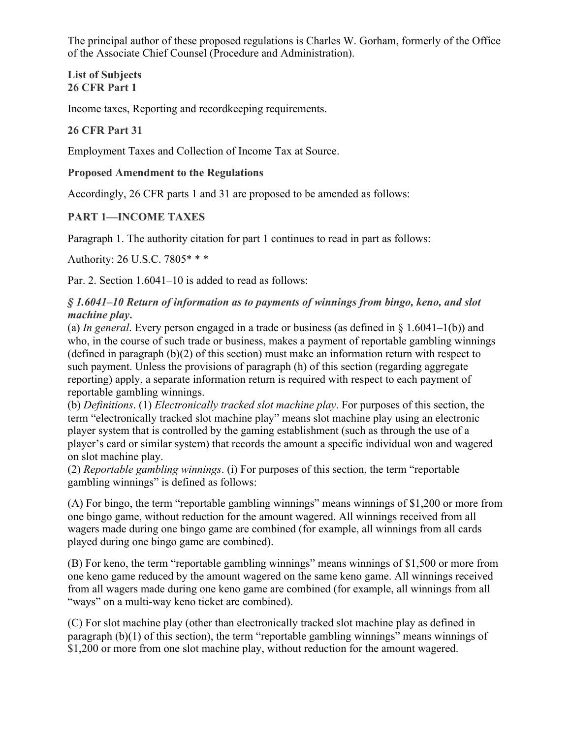The principal author of these proposed regulations is Charles W. Gorham, formerly of the Office of the Associate Chief Counsel (Procedure and Administration).

**List of Subjects 26 CFR Part 1**

Income taxes, Reporting and recordkeeping requirements.

## **26 CFR Part 31**

Employment Taxes and Collection of Income Tax at Source.

#### **Proposed Amendment to the Regulations**

Accordingly, 26 CFR parts 1 and 31 are proposed to be amended as follows:

## **PART 1—INCOME TAXES**

Paragraph 1. The authority citation for part 1 continues to read in part as follows:

Authority: 26 U.S.C. 7805\* \* \*

Par. 2. Section 1.6041–10 is added to read as follows:

## *§ 1.6041–10 Return of information as to payments of winnings from bingo, keno, and slot machine play***.**

(a) *In general*. Every person engaged in a trade or business (as defined in § 1.6041–1(b)) and who, in the course of such trade or business, makes a payment of reportable gambling winnings (defined in paragraph (b)(2) of this section) must make an information return with respect to such payment. Unless the provisions of paragraph (h) of this section (regarding aggregate reporting) apply, a separate information return is required with respect to each payment of reportable gambling winnings.

(b) *Definitions*. (1) *Electronically tracked slot machine play*. For purposes of this section, the term "electronically tracked slot machine play" means slot machine play using an electronic player system that is controlled by the gaming establishment (such as through the use of a player's card or similar system) that records the amount a specific individual won and wagered on slot machine play.

(2) *Reportable gambling winnings*. (i) For purposes of this section, the term "reportable gambling winnings" is defined as follows:

(A) For bingo, the term "reportable gambling winnings" means winnings of \$1,200 or more from one bingo game, without reduction for the amount wagered. All winnings received from all wagers made during one bingo game are combined (for example, all winnings from all cards played during one bingo game are combined).

(B) For keno, the term "reportable gambling winnings" means winnings of \$1,500 or more from one keno game reduced by the amount wagered on the same keno game. All winnings received from all wagers made during one keno game are combined (for example, all winnings from all "ways" on a multi-way keno ticket are combined).

(C) For slot machine play (other than electronically tracked slot machine play as defined in paragraph (b)(1) of this section), the term "reportable gambling winnings" means winnings of \$1,200 or more from one slot machine play, without reduction for the amount wagered.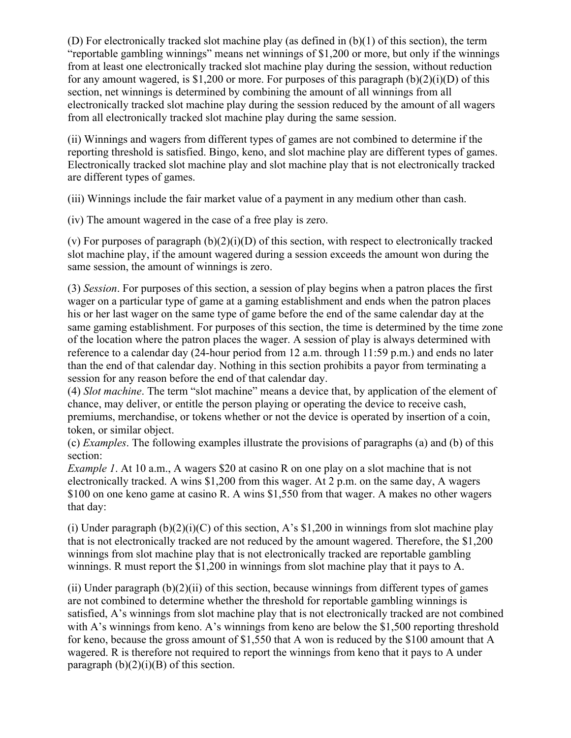(D) For electronically tracked slot machine play (as defined in (b)(1) of this section), the term "reportable gambling winnings" means net winnings of \$1,200 or more, but only if the winnings from at least one electronically tracked slot machine play during the session, without reduction for any amount wagered, is \$1,200 or more. For purposes of this paragraph  $(b)(2)(i)(D)$  of this section, net winnings is determined by combining the amount of all winnings from all electronically tracked slot machine play during the session reduced by the amount of all wagers from all electronically tracked slot machine play during the same session.

(ii) Winnings and wagers from different types of games are not combined to determine if the reporting threshold is satisfied. Bingo, keno, and slot machine play are different types of games. Electronically tracked slot machine play and slot machine play that is not electronically tracked are different types of games.

(iii) Winnings include the fair market value of a payment in any medium other than cash.

(iv) The amount wagered in the case of a free play is zero.

(v) For purposes of paragraph  $(b)(2)(i)(D)$  of this section, with respect to electronically tracked slot machine play, if the amount wagered during a session exceeds the amount won during the same session, the amount of winnings is zero.

(3) *Session*. For purposes of this section, a session of play begins when a patron places the first wager on a particular type of game at a gaming establishment and ends when the patron places his or her last wager on the same type of game before the end of the same calendar day at the same gaming establishment. For purposes of this section, the time is determined by the time zone of the location where the patron places the wager. A session of play is always determined with reference to a calendar day (24-hour period from 12 a.m. through 11:59 p.m.) and ends no later than the end of that calendar day. Nothing in this section prohibits a payor from terminating a session for any reason before the end of that calendar day.

(4) *Slot machine*. The term "slot machine" means a device that, by application of the element of chance, may deliver, or entitle the person playing or operating the device to receive cash, premiums, merchandise, or tokens whether or not the device is operated by insertion of a coin, token, or similar object.

(c) *Examples*. The following examples illustrate the provisions of paragraphs (a) and (b) of this section:

*Example 1*. At 10 a.m., A wagers \$20 at casino R on one play on a slot machine that is not electronically tracked. A wins \$1,200 from this wager. At 2 p.m. on the same day, A wagers \$100 on one keno game at casino R. A wins \$1,550 from that wager. A makes no other wagers that day:

(i) Under paragraph  $(b)(2)(i)(C)$  of this section, A's \$1,200 in winnings from slot machine play that is not electronically tracked are not reduced by the amount wagered. Therefore, the \$1,200 winnings from slot machine play that is not electronically tracked are reportable gambling winnings. R must report the \$1,200 in winnings from slot machine play that it pays to A.

(ii) Under paragraph  $(b)(2)(ii)$  of this section, because winnings from different types of games are not combined to determine whether the threshold for reportable gambling winnings is satisfied, A's winnings from slot machine play that is not electronically tracked are not combined with A's winnings from keno. A's winnings from keno are below the \$1,500 reporting threshold for keno, because the gross amount of \$1,550 that A won is reduced by the \$100 amount that A wagered. R is therefore not required to report the winnings from keno that it pays to A under paragraph  $(b)(2)(i)(B)$  of this section.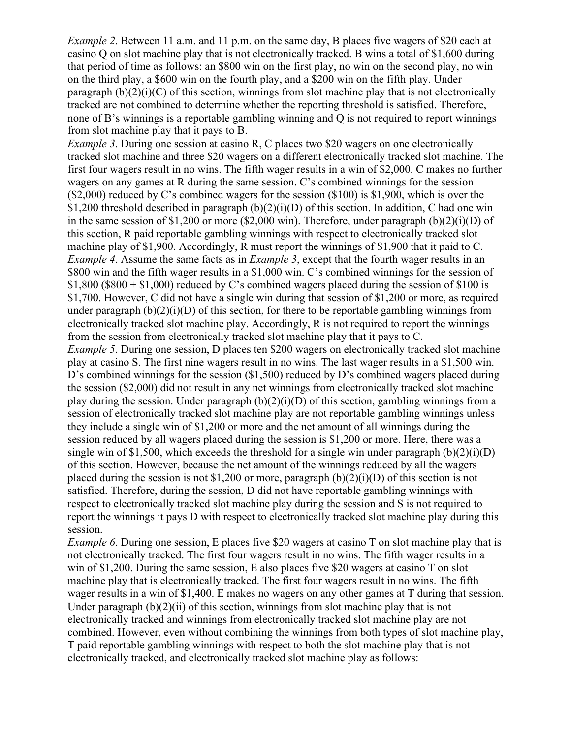*Example* 2. Between 11 a.m. and 11 p.m. on the same day, B places five wagers of \$20 each at casino Q on slot machine play that is not electronically tracked. B wins a total of \$1,600 during that period of time as follows: an \$800 win on the first play, no win on the second play, no win on the third play, a \$600 win on the fourth play, and a \$200 win on the fifth play. Under paragraph  $(b)(2)(i)(C)$  of this section, winnings from slot machine play that is not electronically tracked are not combined to determine whether the reporting threshold is satisfied. Therefore, none of B's winnings is a reportable gambling winning and Q is not required to report winnings from slot machine play that it pays to B.

*Example* 3. During one session at casino R, C places two \$20 wagers on one electronically tracked slot machine and three \$20 wagers on a different electronically tracked slot machine. The first four wagers result in no wins. The fifth wager results in a win of \$2,000. C makes no further wagers on any games at R during the same session. C's combined winnings for the session (\$2,000) reduced by C's combined wagers for the session (\$100) is \$1,900, which is over the \$1,200 threshold described in paragraph (b)(2)(i)(D) of this section. In addition, C had one win in the same session of \$1,200 or more (\$2,000 win). Therefore, under paragraph (b)(2)(i)(D) of this section, R paid reportable gambling winnings with respect to electronically tracked slot machine play of \$1,900. Accordingly, R must report the winnings of \$1,900 that it paid to C. *Example* 4. Assume the same facts as in *Example* 3, except that the fourth wager results in an \$800 win and the fifth wager results in a \$1,000 win. C's combined winnings for the session of  $$1,800$  (\$800 + \$1,000) reduced by C's combined wagers placed during the session of \$100 is \$1,700. However, C did not have a single win during that session of \$1,200 or more, as required under paragraph  $(b)(2)(i)(D)$  of this section, for there to be reportable gambling winnings from electronically tracked slot machine play. Accordingly, R is not required to report the winnings from the session from electronically tracked slot machine play that it pays to C. *Example* 5. During one session, D places ten \$200 wagers on electronically tracked slot machine play at casino S. The first nine wagers result in no wins. The last wager results in a \$1,500 win. D's combined winnings for the session (\$1,500) reduced by D's combined wagers placed during the session (\$2,000) did not result in any net winnings from electronically tracked slot machine play during the session. Under paragraph  $(b)(2)(i)(D)$  of this section, gambling winnings from a session of electronically tracked slot machine play are not reportable gambling winnings unless they include a single win of \$1,200 or more and the net amount of all winnings during the session reduced by all wagers placed during the session is \$1,200 or more. Here, there was a

single win of \$1,500, which exceeds the threshold for a single win under paragraph  $(b)(2)(i)(D)$ of this section. However, because the net amount of the winnings reduced by all the wagers placed during the session is not \$1,200 or more, paragraph  $(b)(2)(i)(D)$  of this section is not satisfied. Therefore, during the session, D did not have reportable gambling winnings with respect to electronically tracked slot machine play during the session and S is not required to report the winnings it pays D with respect to electronically tracked slot machine play during this session.

*Example* 6. During one session, E places five \$20 wagers at casino T on slot machine play that is not electronically tracked. The first four wagers result in no wins. The fifth wager results in a win of \$1,200. During the same session, E also places five \$20 wagers at casino T on slot machine play that is electronically tracked. The first four wagers result in no wins. The fifth wager results in a win of \$1,400. E makes no wagers on any other games at T during that session. Under paragraph  $(b)(2)(ii)$  of this section, winnings from slot machine play that is not electronically tracked and winnings from electronically tracked slot machine play are not combined. However, even without combining the winnings from both types of slot machine play, T paid reportable gambling winnings with respect to both the slot machine play that is not electronically tracked, and electronically tracked slot machine play as follows: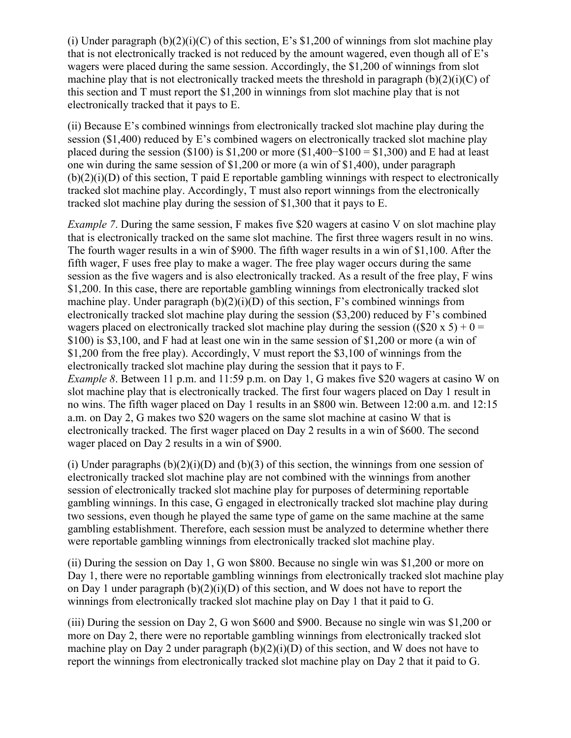(i) Under paragraph  $(b)(2)(i)(C)$  of this section, E's \$1,200 of winnings from slot machine play that is not electronically tracked is not reduced by the amount wagered, even though all of E's wagers were placed during the same session. Accordingly, the \$1,200 of winnings from slot machine play that is not electronically tracked meets the threshold in paragraph  $(b)(2)(i)(C)$  of this section and T must report the \$1,200 in winnings from slot machine play that is not electronically tracked that it pays to E.

(ii) Because E's combined winnings from electronically tracked slot machine play during the session (\$1,400) reduced by E's combined wagers on electronically tracked slot machine play placed during the session (\$100) is \$1,200 or more (\$1,400–\$100 = \$1,300) and E had at least one win during the same session of \$1,200 or more (a win of \$1,400), under paragraph  $(b)(2)(i)(D)$  of this section, T paid E reportable gambling winnings with respect to electronically tracked slot machine play. Accordingly, T must also report winnings from the electronically tracked slot machine play during the session of \$1,300 that it pays to E.

*Example* 7. During the same session, F makes five \$20 wagers at casino V on slot machine play that is electronically tracked on the same slot machine. The first three wagers result in no wins. The fourth wager results in a win of \$900. The fifth wager results in a win of \$1,100. After the fifth wager, F uses free play to make a wager. The free play wager occurs during the same session as the five wagers and is also electronically tracked. As a result of the free play, F wins \$1,200. In this case, there are reportable gambling winnings from electronically tracked slot machine play. Under paragraph  $(b)(2)(i)(D)$  of this section, F's combined winnings from electronically tracked slot machine play during the session (\$3,200) reduced by F's combined wagers placed on electronically tracked slot machine play during the session ((\$20 x 5) + 0 = \$100) is \$3,100, and F had at least one win in the same session of \$1,200 or more (a win of \$1,200 from the free play). Accordingly, V must report the \$3,100 of winnings from the electronically tracked slot machine play during the session that it pays to F. *Example 8*. Between 11 p.m. and 11:59 p.m. on Day 1, G makes five \$20 wagers at casino W on slot machine play that is electronically tracked. The first four wagers placed on Day 1 result in no wins. The fifth wager placed on Day 1 results in an \$800 win. Between 12:00 a.m. and 12:15 a.m. on Day 2, G makes two \$20 wagers on the same slot machine at casino W that is electronically tracked. The first wager placed on Day 2 results in a win of \$600. The second wager placed on Day 2 results in a win of \$900.

(i) Under paragraphs  $(b)(2)(i)(D)$  and  $(b)(3)$  of this section, the winnings from one session of electronically tracked slot machine play are not combined with the winnings from another session of electronically tracked slot machine play for purposes of determining reportable gambling winnings. In this case, G engaged in electronically tracked slot machine play during two sessions, even though he played the same type of game on the same machine at the same gambling establishment. Therefore, each session must be analyzed to determine whether there were reportable gambling winnings from electronically tracked slot machine play.

(ii) During the session on Day 1, G won \$800. Because no single win was \$1,200 or more on Day 1, there were no reportable gambling winnings from electronically tracked slot machine play on Day 1 under paragraph (b)(2)(i)(D) of this section, and W does not have to report the winnings from electronically tracked slot machine play on Day 1 that it paid to G.

(iii) During the session on Day 2, G won \$600 and \$900. Because no single win was \$1,200 or more on Day 2, there were no reportable gambling winnings from electronically tracked slot machine play on Day 2 under paragraph  $(b)(2)(i)(D)$  of this section, and W does not have to report the winnings from electronically tracked slot machine play on Day 2 that it paid to G.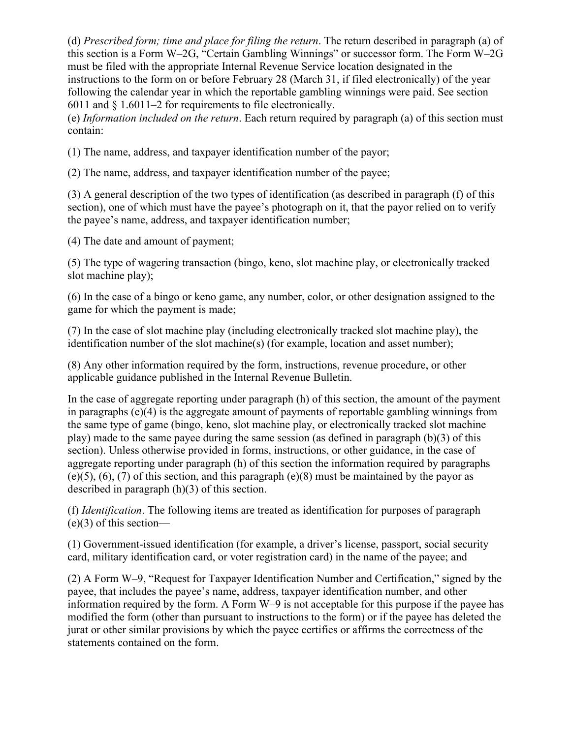(d) *Prescribed form; time and place for filing the return*. The return described in paragraph (a) of this section is a Form W–2G, "Certain Gambling Winnings" or successor form. The Form W–2G must be filed with the appropriate Internal Revenue Service location designated in the instructions to the form on or before February 28 (March 31, if filed electronically) of the year following the calendar year in which the reportable gambling winnings were paid. See section 6011 and § 1.6011–2 for requirements to file electronically.

(e) *Information included on the return*. Each return required by paragraph (a) of this section must contain:

(1) The name, address, and taxpayer identification number of the payor;

(2) The name, address, and taxpayer identification number of the payee;

(3) A general description of the two types of identification (as described in paragraph (f) of this section), one of which must have the payee's photograph on it, that the payor relied on to verify the payee's name, address, and taxpayer identification number;

(4) The date and amount of payment;

(5) The type of wagering transaction (bingo, keno, slot machine play, or electronically tracked slot machine play);

(6) In the case of a bingo or keno game, any number, color, or other designation assigned to the game for which the payment is made;

(7) In the case of slot machine play (including electronically tracked slot machine play), the identification number of the slot machine(s) (for example, location and asset number);

(8) Any other information required by the form, instructions, revenue procedure, or other applicable guidance published in the Internal Revenue Bulletin.

In the case of aggregate reporting under paragraph (h) of this section, the amount of the payment in paragraphs  $(e)(4)$  is the aggregate amount of payments of reportable gambling winnings from the same type of game (bingo, keno, slot machine play, or electronically tracked slot machine play) made to the same payee during the same session (as defined in paragraph (b)(3) of this section). Unless otherwise provided in forms, instructions, or other guidance, in the case of aggregate reporting under paragraph (h) of this section the information required by paragraphs  $(e)(5)$ ,  $(6)$ ,  $(7)$  of this section, and this paragraph  $(e)(8)$  must be maintained by the payor as described in paragraph (h)(3) of this section.

(f) *Identification*. The following items are treated as identification for purposes of paragraph  $(e)(3)$  of this section—

(1) Government-issued identification (for example, a driver's license, passport, social security card, military identification card, or voter registration card) in the name of the payee; and

(2) A Form W–9, "Request for Taxpayer Identification Number and Certification," signed by the payee, that includes the payee's name, address, taxpayer identification number, and other information required by the form. A Form W–9 is not acceptable for this purpose if the payee has modified the form (other than pursuant to instructions to the form) or if the payee has deleted the jurat or other similar provisions by which the payee certifies or affirms the correctness of the statements contained on the form.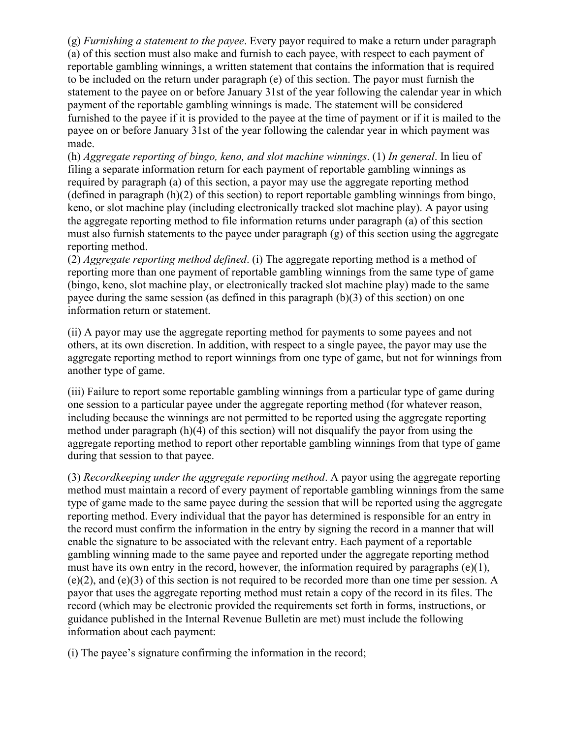(g) *Furnishing a statement to the payee*. Every payor required to make a return under paragraph (a) of this section must also make and furnish to each payee, with respect to each payment of reportable gambling winnings, a written statement that contains the information that is required to be included on the return under paragraph (e) of this section. The payor must furnish the statement to the payee on or before January 31st of the year following the calendar year in which payment of the reportable gambling winnings is made. The statement will be considered furnished to the payee if it is provided to the payee at the time of payment or if it is mailed to the payee on or before January 31st of the year following the calendar year in which payment was made.

(h) *Aggregate reporting of bingo, keno, and slot machine winnings*. (1) *In general*. In lieu of filing a separate information return for each payment of reportable gambling winnings as required by paragraph (a) of this section, a payor may use the aggregate reporting method (defined in paragraph (h)(2) of this section) to report reportable gambling winnings from bingo, keno, or slot machine play (including electronically tracked slot machine play). A payor using the aggregate reporting method to file information returns under paragraph (a) of this section must also furnish statements to the payee under paragraph  $(g)$  of this section using the aggregate reporting method.

(2) *Aggregate reporting method defined*. (i) The aggregate reporting method is a method of reporting more than one payment of reportable gambling winnings from the same type of game (bingo, keno, slot machine play, or electronically tracked slot machine play) made to the same payee during the same session (as defined in this paragraph (b)(3) of this section) on one information return or statement.

(ii) A payor may use the aggregate reporting method for payments to some payees and not others, at its own discretion. In addition, with respect to a single payee, the payor may use the aggregate reporting method to report winnings from one type of game, but not for winnings from another type of game.

(iii) Failure to report some reportable gambling winnings from a particular type of game during one session to a particular payee under the aggregate reporting method (for whatever reason, including because the winnings are not permitted to be reported using the aggregate reporting method under paragraph (h)(4) of this section) will not disqualify the payor from using the aggregate reporting method to report other reportable gambling winnings from that type of game during that session to that payee.

(3) *Recordkeeping under the aggregate reporting method*. A payor using the aggregate reporting method must maintain a record of every payment of reportable gambling winnings from the same type of game made to the same payee during the session that will be reported using the aggregate reporting method. Every individual that the payor has determined is responsible for an entry in the record must confirm the information in the entry by signing the record in a manner that will enable the signature to be associated with the relevant entry. Each payment of a reportable gambling winning made to the same payee and reported under the aggregate reporting method must have its own entry in the record, however, the information required by paragraphs  $(e)(1)$ , (e)(2), and (e)(3) of this section is not required to be recorded more than one time per session. A payor that uses the aggregate reporting method must retain a copy of the record in its files. The record (which may be electronic provided the requirements set forth in forms, instructions, or guidance published in the Internal Revenue Bulletin are met) must include the following information about each payment:

(i) The payee's signature confirming the information in the record;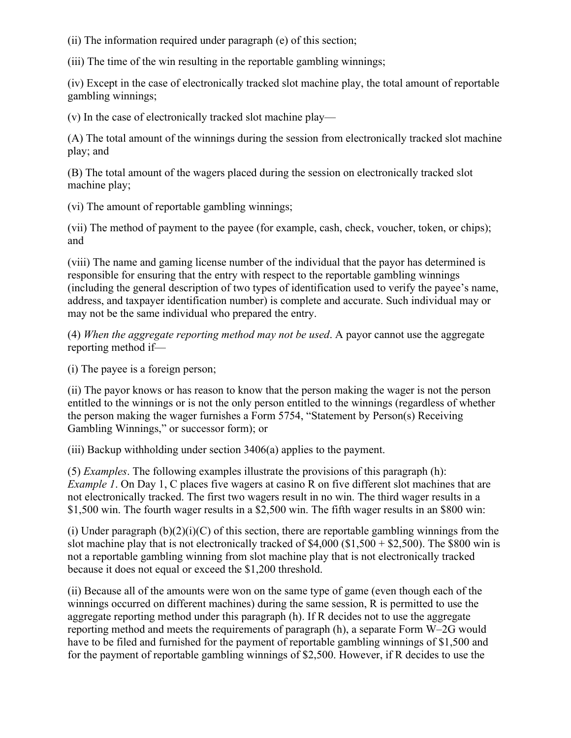(ii) The information required under paragraph (e) of this section;

(iii) The time of the win resulting in the reportable gambling winnings;

(iv) Except in the case of electronically tracked slot machine play, the total amount of reportable gambling winnings;

(v) In the case of electronically tracked slot machine play—

(A) The total amount of the winnings during the session from electronically tracked slot machine play; and

(B) The total amount of the wagers placed during the session on electronically tracked slot machine play;

(vi) The amount of reportable gambling winnings;

(vii) The method of payment to the payee (for example, cash, check, voucher, token, or chips); and

(viii) The name and gaming license number of the individual that the payor has determined is responsible for ensuring that the entry with respect to the reportable gambling winnings (including the general description of two types of identification used to verify the payee's name, address, and taxpayer identification number) is complete and accurate. Such individual may or may not be the same individual who prepared the entry.

(4) *When the aggregate reporting method may not be used*. A payor cannot use the aggregate reporting method if—

(i) The payee is a foreign person;

(ii) The payor knows or has reason to know that the person making the wager is not the person entitled to the winnings or is not the only person entitled to the winnings (regardless of whether the person making the wager furnishes a Form 5754, "Statement by Person(s) Receiving Gambling Winnings," or successor form); or

(iii) Backup withholding under section 3406(a) applies to the payment.

(5) *Examples*. The following examples illustrate the provisions of this paragraph (h): *Example 1*. On Day 1, C places five wagers at casino R on five different slot machines that are not electronically tracked. The first two wagers result in no win. The third wager results in a \$1,500 win. The fourth wager results in a \$2,500 win. The fifth wager results in an \$800 win:

(i) Under paragraph  $(b)(2)(i)(C)$  of this section, there are reportable gambling winnings from the slot machine play that is not electronically tracked of  $$4,000$  ( $$1,500 + $2,500$ ). The \$800 win is not a reportable gambling winning from slot machine play that is not electronically tracked because it does not equal or exceed the \$1,200 threshold.

(ii) Because all of the amounts were won on the same type of game (even though each of the winnings occurred on different machines) during the same session, R is permitted to use the aggregate reporting method under this paragraph (h). If R decides not to use the aggregate reporting method and meets the requirements of paragraph (h), a separate Form W–2G would have to be filed and furnished for the payment of reportable gambling winnings of \$1,500 and for the payment of reportable gambling winnings of \$2,500. However, if R decides to use the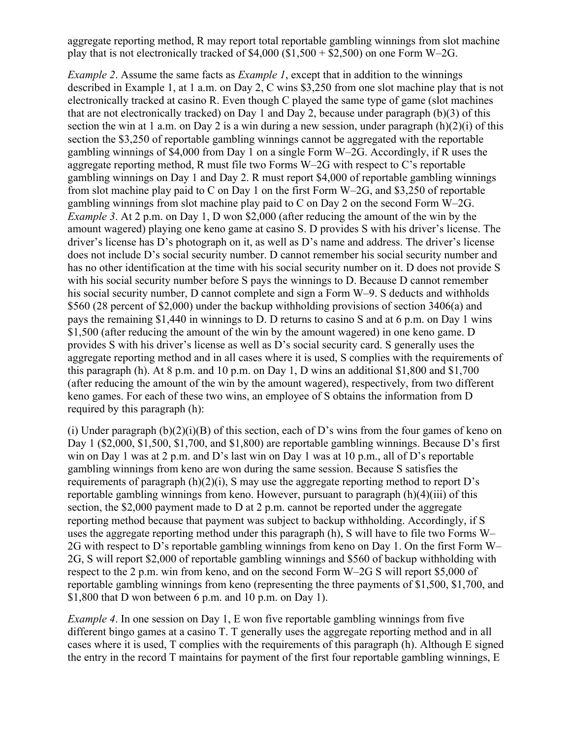aggregate reporting method, R may report total reportable gambling winnings from slot machine play that is not electronically tracked of  $$4,000$  ( $$1,500 + $2,500$ ) on one Form W–2G.

*Example 2*. Assume the same facts as *Example 1*, except that in addition to the winnings described in Example 1, at 1 a.m. on Day 2, C wins \$3,250 from one slot machine play that is not electronically tracked at casino R. Even though C played the same type of game (slot machines that are not electronically tracked) on Day 1 and Day 2, because under paragraph (b)(3) of this section the win at 1 a.m. on Day 2 is a win during a new session, under paragraph (h)(2)(i) of this section the \$3,250 of reportable gambling winnings cannot be aggregated with the reportable gambling winnings of \$4,000 from Day 1 on a single Form W–2G. Accordingly, if R uses the aggregate reporting method, R must file two Forms W–2G with respect to C's reportable gambling winnings on Day 1 and Day 2. R must report \$4,000 of reportable gambling winnings from slot machine play paid to C on Day 1 on the first Form W–2G, and \$3,250 of reportable gambling winnings from slot machine play paid to C on Day 2 on the second Form W–2G. *Example 3*. At 2 p.m. on Day 1, D won \$2,000 (after reducing the amount of the win by the amount wagered) playing one keno game at casino S. D provides S with his driver's license. The driver's license has D's photograph on it, as well as D's name and address. The driver's license does not include D's social security number. D cannot remember his social security number and has no other identification at the time with his social security number on it. D does not provide S with his social security number before S pays the winnings to D. Because D cannot remember his social security number. D cannot complete and sign a Form W–9. S deducts and withholds \$560 (28 percent of \$2,000) under the backup withholding provisions of section 3406(a) and pays the remaining \$1,440 in winnings to D. D returns to casino S and at 6 p.m. on Day 1 wins \$1,500 (after reducing the amount of the win by the amount wagered) in one keno game. D provides S with his driver's license as well as D's social security card. S generally uses the aggregate reporting method and in all cases where it is used, S complies with the requirements of this paragraph (h). At  $8$  p.m. and  $10$  p.m. on Day 1, D wins an additional  $$1,800$  and  $$1,700$ (after reducing the amount of the win by the amount wagered), respectively, from two different keno games. For each of these two wins, an employee of S obtains the information from D required by this paragraph (h):

(i) Under paragraph  $(b)(2)(i)(B)$  of this section, each of D's wins from the four games of keno on Day 1 (\$2,000, \$1,500, \$1,700, and \$1,800) are reportable gambling winnings. Because D's first win on Day 1 was at 2 p.m. and D's last win on Day 1 was at 10 p.m., all of D's reportable gambling winnings from keno are won during the same session. Because S satisfies the requirements of paragraph (h)(2)(i), S may use the aggregate reporting method to report D's reportable gambling winnings from keno. However, pursuant to paragraph (h)(4)(iii) of this section, the \$2,000 payment made to D at 2 p.m. cannot be reported under the aggregate reporting method because that payment was subject to backup withholding. Accordingly, if S uses the aggregate reporting method under this paragraph (h), S will have to file two Forms W– 2G with respect to D's reportable gambling winnings from keno on Day 1. On the first Form W– 2G, S will report \$2,000 of reportable gambling winnings and \$560 of backup withholding with respect to the 2 p.m. win from keno, and on the second Form W–2G S will report \$5,000 of reportable gambling winnings from keno (representing the three payments of \$1,500, \$1,700, and \$1,800 that D won between 6 p.m. and 10 p.m. on Day 1).

*Example 4*. In one session on Day 1, E won five reportable gambling winnings from five different bingo games at a casino T. T generally uses the aggregate reporting method and in all cases where it is used, T complies with the requirements of this paragraph (h). Although E signed the entry in the record T maintains for payment of the first four reportable gambling winnings, E